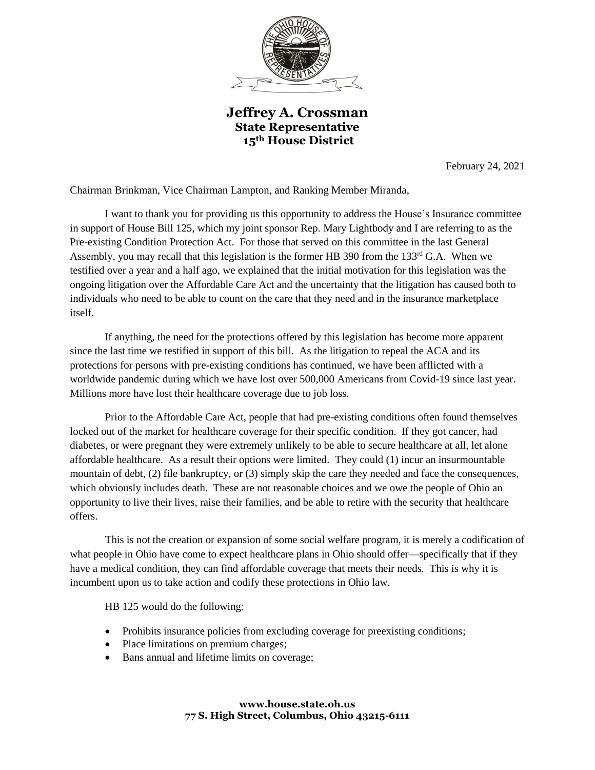

**Jeffrey A. Crossman State Representative 15th House District**

February 24, 2021

Chairman Brinkman, Vice Chairman Lampton, and Ranking Member Miranda,

I want to thank you for providing us this opportunity to address the House's Insurance committee in support of House Bill 125, which my joint sponsor Rep. Mary Lightbody and I are referring to as the Pre-existing Condition Protection Act. For those that served on this committee in the last General Assembly, you may recall that this legislation is the former HB 390 from the 133<sup>rd</sup> G.A. When we testified over a year and a half ago, we explained that the initial motivation for this legislation was the ongoing litigation over the Affordable Care Act and the uncertainty that the litigation has caused both to individuals who need to be able to count on the care that they need and in the insurance marketplace itself.

If anything, the need for the protections offered by this legislation has become more apparent since the last time we testified in support of this bill. As the litigation to repeal the ACA and its protections for persons with pre-existing conditions has continued, we have been afflicted with a worldwide pandemic during which we have lost over 500,000 Americans from Covid-19 since last year. Millions more have lost their healthcare coverage due to job loss.

Prior to the Affordable Care Act, people that had pre-existing conditions often found themselves locked out of the market for healthcare coverage for their specific condition. If they got cancer, had diabetes, or were pregnant they were extremely unlikely to be able to secure healthcare at all, let alone affordable healthcare. As a result their options were limited. They could (1) incur an insurmountable mountain of debt, (2) file bankruptcy, or (3) simply skip the care they needed and face the consequences, which obviously includes death. These are not reasonable choices and we owe the people of Ohio an opportunity to live their lives, raise their families, and be able to retire with the security that healthcare offers.

This is not the creation or expansion of some social welfare program, it is merely a codification of what people in Ohio have come to expect healthcare plans in Ohio should offer—specifically that if they have a medical condition, they can find affordable coverage that meets their needs. This is why it is incumbent upon us to take action and codify these protections in Ohio law.

HB 125 would do the following:

- Prohibits insurance policies from excluding coverage for preexisting conditions;
- Place limitations on premium charges;
- Bans annual and lifetime limits on coverage;

## **www.house.state.oh.us 77 S. High Street, Columbus, Ohio 43215-6111**